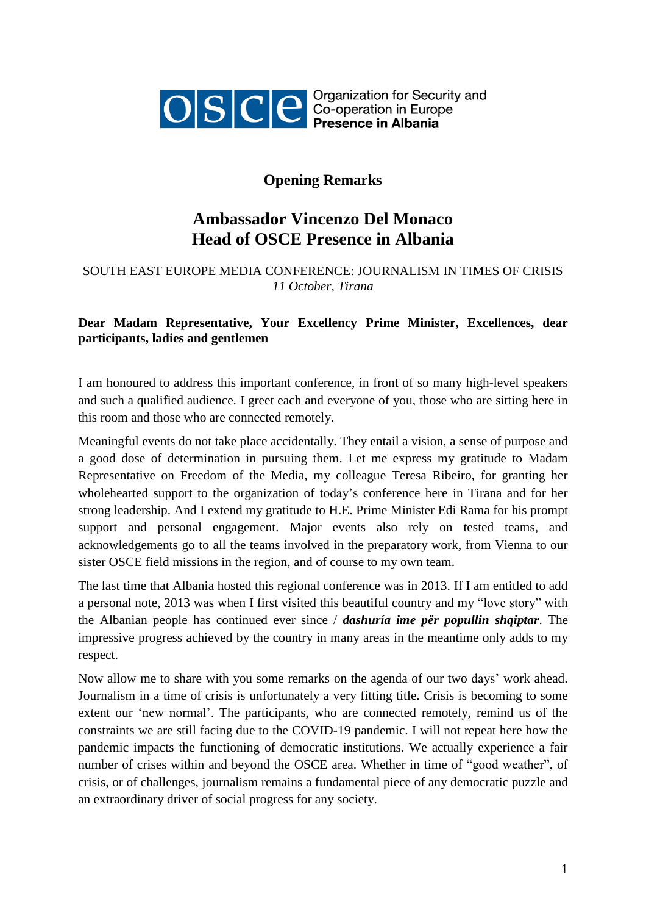

OSCE Ceperation for Security and

## **Opening Remarks**

## **Ambassador Vincenzo Del Monaco Head of OSCE Presence in Albania**

## SOUTH EAST EUROPE MEDIA CONFERENCE: JOURNALISM IN TIMES OF CRISIS *11 October, Tirana*

## **Dear Madam Representative, Your Excellency Prime Minister, Excellences, dear participants, ladies and gentlemen**

I am honoured to address this important conference, in front of so many high-level speakers and such a qualified audience. I greet each and everyone of you, those who are sitting here in this room and those who are connected remotely.

Meaningful events do not take place accidentally. They entail a vision, a sense of purpose and a good dose of determination in pursuing them. Let me express my gratitude to Madam Representative on Freedom of the Media, my colleague Teresa Ribeiro, for granting her wholehearted support to the organization of today's conference here in Tirana and for her strong leadership. And I extend my gratitude to H.E. Prime Minister Edi Rama for his prompt support and personal engagement. Major events also rely on tested teams, and acknowledgements go to all the teams involved in the preparatory work, from Vienna to our sister OSCE field missions in the region, and of course to my own team.

The last time that Albania hosted this regional conference was in 2013. If I am entitled to add a personal note, 2013 was when I first visited this beautiful country and my "love story" with the Albanian people has continued ever since / *dashuría ime për popullin shqiptar*. The impressive progress achieved by the country in many areas in the meantime only adds to my respect.

Now allow me to share with you some remarks on the agenda of our two days' work ahead. Journalism in a time of crisis is unfortunately a very fitting title. Crisis is becoming to some extent our 'new normal'. The participants, who are connected remotely, remind us of the constraints we are still facing due to the COVID-19 pandemic. I will not repeat here how the pandemic impacts the functioning of democratic institutions. We actually experience a fair number of crises within and beyond the OSCE area. Whether in time of "good weather", of crisis, or of challenges, journalism remains a fundamental piece of any democratic puzzle and an extraordinary driver of social progress for any society.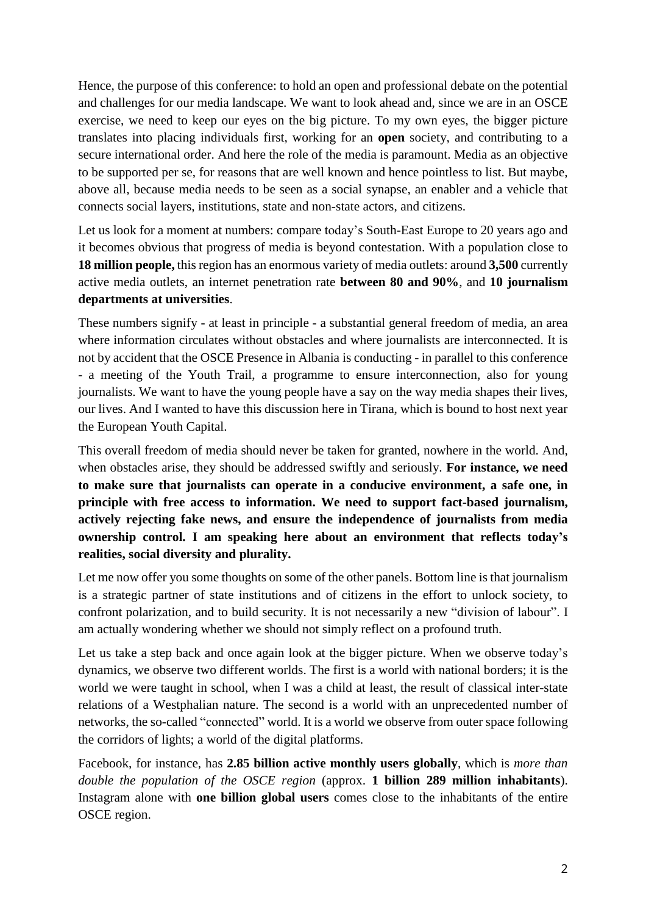Hence, the purpose of this conference: to hold an open and professional debate on the potential and challenges for our media landscape. We want to look ahead and, since we are in an OSCE exercise, we need to keep our eyes on the big picture. To my own eyes, the bigger picture translates into placing individuals first, working for an **open** society, and contributing to a secure international order. And here the role of the media is paramount. Media as an objective to be supported per se, for reasons that are well known and hence pointless to list. But maybe, above all, because media needs to be seen as a social synapse, an enabler and a vehicle that connects social layers, institutions, state and non-state actors, and citizens.

Let us look for a moment at numbers: compare today's South-East Europe to 20 years ago and it becomes obvious that progress of media is beyond contestation. With a population close to **18 million people,** this region has an enormous variety of media outlets: around **3,500** currently active media outlets, an internet penetration rate **between 80 and 90%**, and **10 journalism departments at universities**.

These numbers signify - at least in principle - a substantial general freedom of media, an area where information circulates without obstacles and where journalists are interconnected. It is not by accident that the OSCE Presence in Albania is conducting - in parallel to this conference - a meeting of the Youth Trail, a programme to ensure interconnection, also for young journalists. We want to have the young people have a say on the way media shapes their lives, our lives. And I wanted to have this discussion here in Tirana, which is bound to host next year the European Youth Capital.

This overall freedom of media should never be taken for granted, nowhere in the world. And, when obstacles arise, they should be addressed swiftly and seriously. **For instance, we need to make sure that journalists can operate in a conducive environment, a safe one, in principle with free access to information. We need to support fact-based journalism, actively rejecting fake news, and ensure the independence of journalists from media ownership control. I am speaking here about an environment that reflects today's realities, social diversity and plurality.**

Let me now offer you some thoughts on some of the other panels. Bottom line is that journalism is a strategic partner of state institutions and of citizens in the effort to unlock society, to confront polarization, and to build security. It is not necessarily a new "division of labour". I am actually wondering whether we should not simply reflect on a profound truth.

Let us take a step back and once again look at the bigger picture. When we observe today's dynamics, we observe two different worlds. The first is a world with national borders; it is the world we were taught in school, when I was a child at least, the result of classical inter-state relations of a Westphalian nature. The second is a world with an unprecedented number of networks, the so-called "connected" world. It is a world we observe from outer space following the corridors of lights; a world of the digital platforms.

Facebook, for instance, has **2.85 billion active monthly users globally**, which is *more than double the population of the OSCE region* (approx. **1 billion 289 million inhabitants**). Instagram alone with **one billion global users** comes close to the inhabitants of the entire OSCE region.